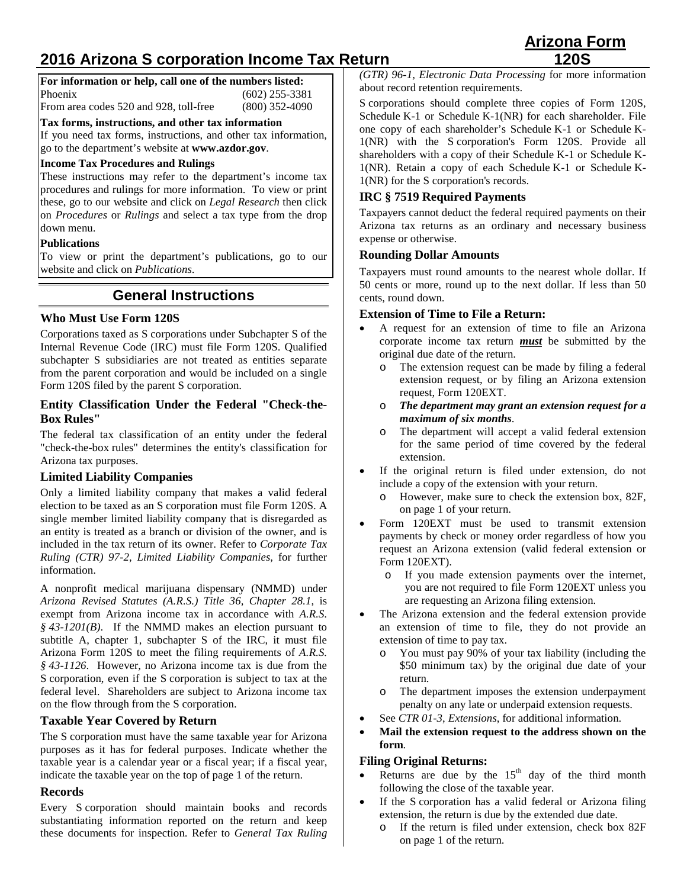# **2016 Arizona S corporation Income Tax Return**

**For information or help, call one of the numbers listed:** Phoenix (602) 255-3381

From area codes 520 and 928, toll-free (800) 352-4090

**Tax forms, instructions, and other tax information**

If you need tax forms, instructions, and other tax information, go to the department's website at **www.azdor.gov**.

## **Income Tax Procedures and Rulings**

These instructions may refer to the department's income tax procedures and rulings for more information. To view or print these, go to our website and click on *Legal Research* then click on *Procedures* or *Rulings* and select a tax type from the drop down menu.

## **Publications**

To view or print the department's publications, go to our website and click on *Publications*.

## **General Instructions**

## **Who Must Use Form 120S**

Corporations taxed as S corporations under Subchapter S of the Internal Revenue Code (IRC) must file Form 120S. Qualified subchapter S subsidiaries are not treated as entities separate from the parent corporation and would be included on a single Form 120S filed by the parent S corporation.

### **Entity Classification Under the Federal "Check-the-Box Rules"**

The federal tax classification of an entity under the federal "check-the-box rules" determines the entity's classification for Arizona tax purposes.

## **Limited Liability Companies**

Only a limited liability company that makes a valid federal election to be taxed as an S corporation must file Form 120S. A single member limited liability company that is disregarded as an entity is treated as a branch or division of the owner, and is included in the tax return of its owner. Refer to *Corporate Tax Ruling (CTR) 97-2*, *Limited Liability Companies,* for further information.

A nonprofit medical marijuana dispensary (NMMD) under *Arizona Revised Statutes (A.R.S.) Title 36, Chapter 28.1*, is exempt from Arizona income tax in accordance with *A.R.S. § 43-1201(B)*. If the NMMD makes an election pursuant to subtitle A, chapter 1, subchapter S of the IRC, it must file Arizona Form 120S to meet the filing requirements of *A.R.S. § 43-1126*. However, no Arizona income tax is due from the S corporation, even if the S corporation is subject to tax at the federal level. Shareholders are subject to Arizona income tax on the flow through from the S corporation.

## **Taxable Year Covered by Return**

The S corporation must have the same taxable year for Arizona purposes as it has for federal purposes. Indicate whether the taxable year is a calendar year or a fiscal year; if a fiscal year, indicate the taxable year on the top of page 1 of the return.

## **Records**

Every S corporation should maintain books and records substantiating information reported on the return and keep these documents for inspection. Refer to *General Tax Ruling*

*(GTR) 96-1, Electronic Data Processing* for more information about record retention requirements.

S corporations should complete three copies of Form 120S, Schedule K-1 or Schedule K-1(NR) for each shareholder. File one copy of each shareholder's Schedule K-1 or Schedule K-1(NR) with the S corporation's Form 120S. Provide all shareholders with a copy of their Schedule K-1 or Schedule K-1(NR). Retain a copy of each Schedule K-1 or Schedule K-1(NR) for the S corporation's records.

## **IRC § 7519 Required Payments**

Taxpayers cannot deduct the federal required payments on their Arizona tax returns as an ordinary and necessary business expense or otherwise.

## **Rounding Dollar Amounts**

Taxpayers must round amounts to the nearest whole dollar. If 50 cents or more, round up to the next dollar. If less than 50 cents, round down.

## **Extension of Time to File a Return:**

- A request for an extension of time to file an Arizona corporate income tax return *must* be submitted by the original due date of the return.
	- o The extension request can be made by filing a federal extension request, or by filing an Arizona extension request, Form 120EXT.
	- o *The department may grant an extension request for a maximum of six months*.
	- o The department will accept a valid federal extension for the same period of time covered by the federal extension.
- If the original return is filed under extension, do not include a copy of the extension with your return.
	- o However, make sure to check the extension box, 82F, on page 1 of your return.
- Form 120EXT must be used to transmit extension payments by check or money order regardless of how you request an Arizona extension (valid federal extension or Form 120EXT).
	- o If you made extension payments over the internet, you are not required to file Form 120EXT unless you are requesting an Arizona filing extension.
- The Arizona extension and the federal extension provide an extension of time to file, they do not provide an extension of time to pay tax.
	- o You must pay 90% of your tax liability (including the \$50 minimum tax) by the original due date of your return.
	- o The department imposes the extension underpayment penalty on any late or underpaid extension requests.
- See *CTR 01-3*, *Extensions*, for additional information.
- **Mail the extension request to the address shown on the form**.

## **Filing Original Returns:**

- Returns are due by the  $15<sup>th</sup>$  day of the third month following the close of the taxable year.
- If the S corporation has a valid federal or Arizona filing extension, the return is due by the extended due date.
	- o If the return is filed under extension, check box 82F on page 1 of the return.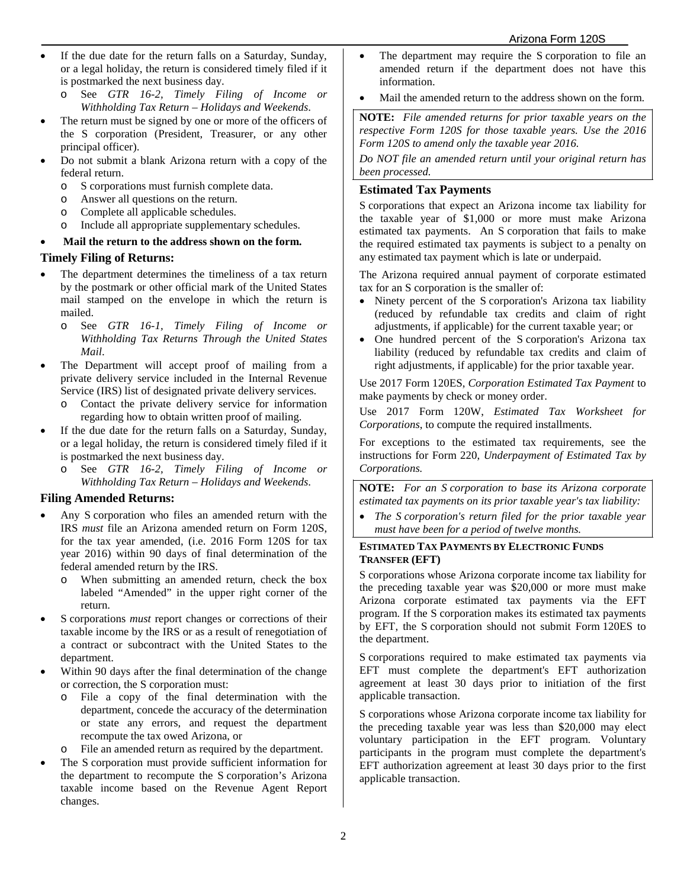- If the due date for the return falls on a Saturday, Sunday, or a legal holiday, the return is considered timely filed if it is postmarked the next business day.
	- o See *GTR 16-2, Timely Filing of Income or Withholding Tax Return – Holidays and Weekends*.
- The return must be signed by one or more of the officers of the S corporation (President, Treasurer, or any other principal officer).
- Do not submit a blank Arizona return with a copy of the federal return.
	- o S corporations must furnish complete data.
	- o Answer all questions on the return.
	- o Complete all applicable schedules.
	- o Include all appropriate supplementary schedules.

#### • **Mail the return to the address shown on the form.**

#### **Timely Filing of Returns:**

- The department determines the timeliness of a tax return by the postmark or other official mark of the United States mail stamped on the envelope in which the return is mailed.
	- o See *GTR 16-1, Timely Filing of Income or Withholding Tax Returns Through the United States Mail*.
- The Department will accept proof of mailing from a private delivery service included in the Internal Revenue Service (IRS) list of designated private delivery services.
	- o Contact the private delivery service for information regarding how to obtain written proof of mailing.
- If the due date for the return falls on a Saturday, Sunday, or a legal holiday, the return is considered timely filed if it is postmarked the next business day.<br>  $\frac{1}{2}$  See GTR 16-2. Timely Fig.
	- See *GTR* 16-2, Timely Filing of Income or *Withholding Tax Return – Holidays and Weekends*.

#### **Filing Amended Returns:**

- Any S corporation who files an amended return with the IRS *must* file an Arizona amended return on Form 120S, for the tax year amended, (i.e. 2016 Form 120S for tax year 2016) within 90 days of final determination of the federal amended return by the IRS.
	- o When submitting an amended return, check the box labeled "Amended" in the upper right corner of the return.
- S corporations *must* report changes or corrections of their taxable income by the IRS or as a result of renegotiation of a contract or subcontract with the United States to the department.
- Within 90 days after the final determination of the change or correction, the S corporation must:
	- o File a copy of the final determination with the department, concede the accuracy of the determination or state any errors, and request the department recompute the tax owed Arizona, or
	- o File an amended return as required by the department.
- The S corporation must provide sufficient information for the department to recompute the S corporation's Arizona taxable income based on the Revenue Agent Report changes.
- The department may require the S corporation to file an amended return if the department does not have this information.
- Mail the amended return to the address shown on the form.

**NOTE:** *File amended returns for prior taxable years on the respective Form 120S for those taxable years. Use the 2016 Form 120S to amend only the taxable year 2016.*

*Do NOT file an amended return until your original return has been processed.*

### **Estimated Tax Payments**

S corporations that expect an Arizona income tax liability for the taxable year of \$1,000 or more must make Arizona estimated tax payments. An S corporation that fails to make the required estimated tax payments is subject to a penalty on any estimated tax payment which is late or underpaid.

The Arizona required annual payment of corporate estimated tax for an S corporation is the smaller of:

- Ninety percent of the S corporation's Arizona tax liability (reduced by refundable tax credits and claim of right adjustments, if applicable) for the current taxable year; or
- One hundred percent of the S corporation's Arizona tax liability (reduced by refundable tax credits and claim of right adjustments, if applicable) for the prior taxable year.

Use 2017 Form 120ES, *Corporation Estimated Tax Payment* to make payments by check or money order.

Use 2017 Form 120W, *Estimated Tax Worksheet for Corporations*, to compute the required installments.

For exceptions to the estimated tax requirements, see the instructions for Form 220, *Underpayment of Estimated Tax by Corporations.*

**NOTE:** *For an S corporation to base its Arizona corporate estimated tax payments on its prior taxable year's tax liability:*

• *The S corporation's return filed for the prior taxable year must have been for a period of twelve months.*

### **ESTIMATED TAX PAYMENTS BY ELECTRONIC FUNDS TRANSFER (EFT)**

S corporations whose Arizona corporate income tax liability for the preceding taxable year was \$20,000 or more must make Arizona corporate estimated tax payments via the EFT program. If the S corporation makes its estimated tax payments by EFT, the S corporation should not submit Form 120ES to the department.

S corporations required to make estimated tax payments via EFT must complete the department's EFT authorization agreement at least 30 days prior to initiation of the first applicable transaction.

S corporations whose Arizona corporate income tax liability for the preceding taxable year was less than \$20,000 may elect voluntary participation in the EFT program. Voluntary participants in the program must complete the department's EFT authorization agreement at least 30 days prior to the first applicable transaction.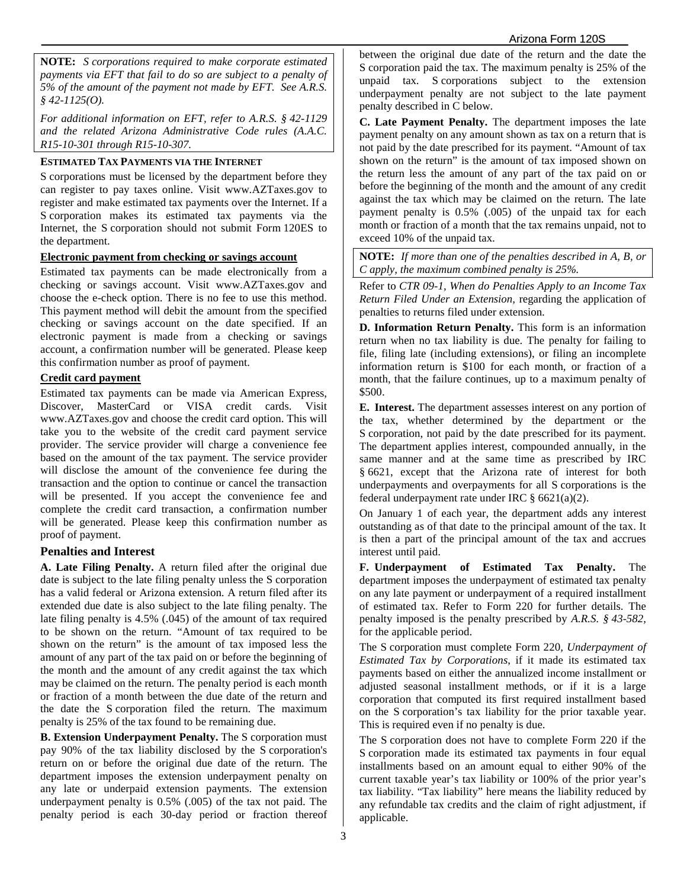**NOTE:** *S corporations required to make corporate estimated payments via EFT that fail to do so are subject to a penalty of 5% of the amount of the payment not made by EFT. See A.R.S. § 42-1125(O).*

*For additional information on EFT, refer to A.R.S. § 42-1129 and the related Arizona Administrative Code rules (A.A.C. R15-10-301 through R15-10-307.*

## **ESTIMATED TAX PAYMENTS VIA THE INTERNET**

S corporations must be licensed by the department before they can register to pay taxes online. Visit www.AZTaxes.gov to register and make estimated tax payments over the Internet. If a S corporation makes its estimated tax payments via the Internet, the S corporation should not submit Form 120ES to the department.

#### **Electronic payment from checking or savings account**

Estimated tax payments can be made electronically from a checking or savings account. Visit www.AZTaxes.gov and choose the e-check option. There is no fee to use this method. This payment method will debit the amount from the specified checking or savings account on the date specified. If an electronic payment is made from a checking or savings account, a confirmation number will be generated. Please keep this confirmation number as proof of payment.

#### **Credit card payment**

Estimated tax payments can be made via American Express, Discover, MasterCard or VISA credit cards. Visit www.AZTaxes.gov and choose the credit card option. This will take you to the website of the credit card payment service provider. The service provider will charge a convenience fee based on the amount of the tax payment. The service provider will disclose the amount of the convenience fee during the transaction and the option to continue or cancel the transaction will be presented. If you accept the convenience fee and complete the credit card transaction, a confirmation number will be generated. Please keep this confirmation number as proof of payment.

#### **Penalties and Interest**

**A. Late Filing Penalty.** A return filed after the original due date is subject to the late filing penalty unless the S corporation has a valid federal or Arizona extension. A return filed after its extended due date is also subject to the late filing penalty. The late filing penalty is 4.5% (.045) of the amount of tax required to be shown on the return. "Amount of tax required to be shown on the return" is the amount of tax imposed less the amount of any part of the tax paid on or before the beginning of the month and the amount of any credit against the tax which may be claimed on the return. The penalty period is each month or fraction of a month between the due date of the return and the date the S corporation filed the return. The maximum penalty is 25% of the tax found to be remaining due.

**B. Extension Underpayment Penalty.** The S corporation must pay 90% of the tax liability disclosed by the S corporation's return on or before the original due date of the return. The department imposes the extension underpayment penalty on any late or underpaid extension payments. The extension underpayment penalty is 0.5% (.005) of the tax not paid. The penalty period is each 30-day period or fraction thereof between the original due date of the return and the date the S corporation paid the tax. The maximum penalty is 25% of the unpaid tax. S corporations subject to the extension underpayment penalty are not subject to the late payment penalty described in C below.

**C. Late Payment Penalty.** The department imposes the late payment penalty on any amount shown as tax on a return that is not paid by the date prescribed for its payment. "Amount of tax shown on the return" is the amount of tax imposed shown on the return less the amount of any part of the tax paid on or before the beginning of the month and the amount of any credit against the tax which may be claimed on the return. The late payment penalty is 0.5% (.005) of the unpaid tax for each month or fraction of a month that the tax remains unpaid, not to exceed 10% of the unpaid tax.

**NOTE:** *If more than one of the penalties described in A, B, or C apply, the maximum combined penalty is 25%.*

Refer to *CTR 09-1, When do Penalties Apply to an Income Tax Return Filed Under an Extension,* regarding the application of penalties to returns filed under extension.

**D. Information Return Penalty.** This form is an information return when no tax liability is due. The penalty for failing to file, filing late (including extensions), or filing an incomplete information return is \$100 for each month, or fraction of a month, that the failure continues, up to a maximum penalty of \$500.

**E. Interest.** The department assesses interest on any portion of the tax, whether determined by the department or the S corporation, not paid by the date prescribed for its payment. The department applies interest, compounded annually, in the same manner and at the same time as prescribed by IRC § 6621, except that the Arizona rate of interest for both underpayments and overpayments for all S corporations is the federal underpayment rate under IRC § 6621(a)(2).

On January 1 of each year, the department adds any interest outstanding as of that date to the principal amount of the tax. It is then a part of the principal amount of the tax and accrues interest until paid.

**F. Underpayment of Estimated Tax Penalty.** The department imposes the underpayment of estimated tax penalty on any late payment or underpayment of a required installment of estimated tax. Refer to Form 220 for further details. The penalty imposed is the penalty prescribed by *A.R.S. § 43-582*, for the applicable period.

The S corporation must complete Form 220*, Underpayment of Estimated Tax by Corporations*, if it made its estimated tax payments based on either the annualized income installment or adjusted seasonal installment methods, or if it is a large corporation that computed its first required installment based on the S corporation's tax liability for the prior taxable year. This is required even if no penalty is due.

The S corporation does not have to complete Form 220 if the S corporation made its estimated tax payments in four equal installments based on an amount equal to either 90% of the current taxable year's tax liability or 100% of the prior year's tax liability. "Tax liability" here means the liability reduced by any refundable tax credits and the claim of right adjustment, if applicable.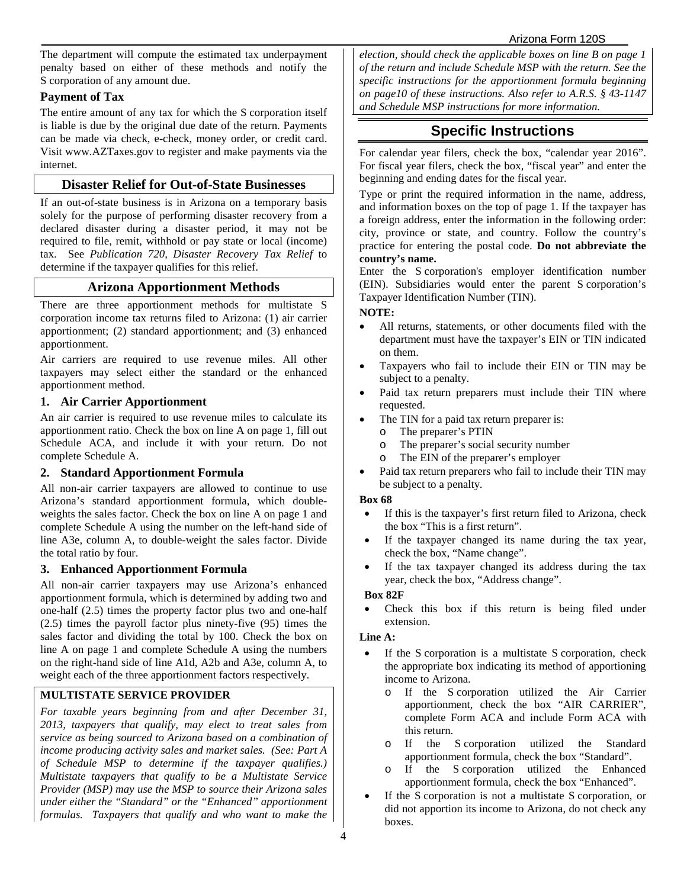The department will compute the estimated tax underpayment penalty based on either of these methods and notify the S corporation of any amount due.

### **Payment of Tax**

The entire amount of any tax for which the S corporation itself is liable is due by the original due date of the return. Payments can be made via check, e-check, money order, or credit card. Visit www.AZTaxes.gov to register and make payments via the internet.

### **Disaster Relief for Out-of-State Businesses**

If an out-of-state business is in Arizona on a temporary basis solely for the purpose of performing disaster recovery from a declared disaster during a disaster period, it may not be required to file, remit, withhold or pay state or local (income) tax. See *Publication 720, Disaster Recovery Tax Relief* to determine if the taxpayer qualifies for this relief.

## **Arizona Apportionment Methods**

There are three apportionment methods for multistate S corporation income tax returns filed to Arizona: (1) air carrier apportionment; (2) standard apportionment; and (3) enhanced apportionment.

Air carriers are required to use revenue miles. All other taxpayers may select either the standard or the enhanced apportionment method.

### **1. Air Carrier Apportionment**

An air carrier is required to use revenue miles to calculate its apportionment ratio. Check the box on line A on page 1, fill out Schedule ACA, and include it with your return. Do not complete Schedule A.

### **2. Standard Apportionment Formula**

All non-air carrier taxpayers are allowed to continue to use Arizona's standard apportionment formula, which doubleweights the sales factor. Check the box on line A on page 1 and complete Schedule A using the number on the left-hand side of line A3e, column A, to double-weight the sales factor. Divide the total ratio by four.

#### **3. Enhanced Apportionment Formula**

All non-air carrier taxpayers may use Arizona's enhanced apportionment formula, which is determined by adding two and one-half (2.5) times the property factor plus two and one-half (2.5) times the payroll factor plus ninety-five (95) times the sales factor and dividing the total by 100. Check the box on line A on page 1 and complete Schedule A using the numbers on the right-hand side of line A1d, A2b and A3e, column A, to weight each of the three apportionment factors respectively.

### **MULTISTATE SERVICE PROVIDER**

*For taxable years beginning from and after December 31, 2013, taxpayers that qualify, may elect to treat sales from service as being sourced to Arizona based on a combination of income producing activity sales and market sales. (See: Part A of Schedule MSP to determine if the taxpayer qualifies.) Multistate taxpayers that qualify to be a Multistate Service Provider (MSP) may use the MSP to source their Arizona sales under either the "Standard" or the "Enhanced" apportionment formulas. Taxpayers that qualify and who want to make the*  *election, should check the applicable boxes on line B on page 1 of the return and include Schedule MSP with the return. See the specific instructions for the apportionment formula beginning on page10 of these instructions. Also refer to A.R.S. § 43-1147 and Schedule MSP instructions for more information.*

## **Specific Instructions**

For calendar year filers, check the box, "calendar year 2016". For fiscal year filers, check the box, "fiscal year" and enter the beginning and ending dates for the fiscal year.

Type or print the required information in the name, address, and information boxes on the top of page 1. If the taxpayer has a foreign address, enter the information in the following order: city, province or state, and country. Follow the country's practice for entering the postal code. **Do not abbreviate the country's name.**

Enter the S corporation's employer identification number (EIN). Subsidiaries would enter the parent S corporation's Taxpayer Identification Number (TIN).

#### **NOTE:**

- All returns, statements, or other documents filed with the department must have the taxpayer's EIN or TIN indicated on them.
- Taxpayers who fail to include their EIN or TIN may be subject to a penalty.
- Paid tax return preparers must include their TIN where requested.
- The TIN for a paid tax return preparer is:
	- o The preparer's PTIN
	- The preparer's social security number
	- o The EIN of the preparer's employer
- Paid tax return preparers who fail to include their TIN may be subject to a penalty.

#### **Box 68**

- If this is the taxpayer's first return filed to Arizona, check the box "This is a first return".
- If the taxpayer changed its name during the tax year, check the box, "Name change".
- If the tax taxpayer changed its address during the tax year, check the box, "Address change".

#### **Box 82F**

Check this box if this return is being filed under extension.

#### **Line A:**

- If the S corporation is a multistate S corporation, check the appropriate box indicating its method of apportioning income to Arizona.
	- o If the S corporation utilized the Air Carrier apportionment, check the box "AIR CARRIER", complete Form ACA and include Form ACA with this return.
	- o If the S corporation utilized the Standard apportionment formula, check the box "Standard".
	- o If the S corporation utilized the Enhanced apportionment formula, check the box "Enhanced".
- If the S corporation is not a multistate S corporation, or did not apportion its income to Arizona, do not check any boxes.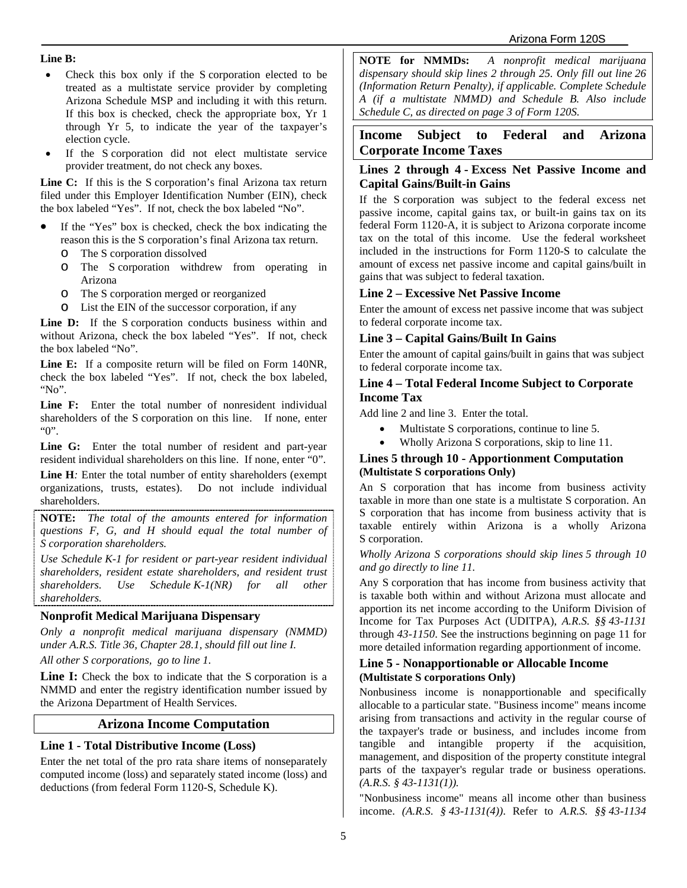#### **Line B:**

- Check this box only if the S corporation elected to be treated as a multistate service provider by completing Arizona Schedule MSP and including it with this return. If this box is checked, check the appropriate box, Yr 1 through Yr 5, to indicate the year of the taxpayer's election cycle.
- If the S corporation did not elect multistate service provider treatment, do not check any boxes.

**Line C:** If this is the S corporation's final Arizona tax return filed under this Employer Identification Number (EIN), check the box labeled "Yes". If not, check the box labeled "No".

- If the "Yes" box is checked, check the box indicating the reason this is the S corporation's final Arizona tax return.
	- o The S corporation dissolved
	- The S corporation withdrew from operating in Arizona
	- o The S corporation merged or reorganized
	- o List the EIN of the successor corporation, if any

Line D: If the S corporation conducts business within and without Arizona, check the box labeled "Yes". If not, check the box labeled "No".

**Line E:** If a composite return will be filed on Form 140NR, check the box labeled "Yes". If not, check the box labeled, "No".

**Line F:** Enter the total number of nonresident individual shareholders of the S corporation on this line. If none, enter "0".

**Line G:** Enter the total number of resident and part-year resident individual shareholders on this line. If none, enter "0". **Line H***:* Enter the total number of entity shareholders (exempt organizations, trusts, estates). Do not include individual

shareholders. **NOTE:** *The total of the amounts entered for information* 

*questions F, G, and H should equal the total number of S corporation shareholders.*

*Use Schedule K-1 for resident or part-year resident individual shareholders, resident estate shareholders, and resident trust shareholders. Use Schedule K-1(NR) for all other shareholders.*

### **Nonprofit Medical Marijuana Dispensary**

*Only a nonprofit medical marijuana dispensary (NMMD) under A.R.S. Title 36, Chapter 28.1, should fill out line I. All other S corporations, go to line 1.*

**Line I:** Check the box to indicate that the S corporation is a NMMD and enter the registry identification number issued by the Arizona Department of Health Services.

## **Arizona Income Computation**

## **Line 1 - Total Distributive Income (Loss)**

Enter the net total of the pro rata share items of nonseparately computed income (loss) and separately stated income (loss) and deductions (from federal Form 1120-S, Schedule K).

**NOTE for NMMDs:** *A nonprofit medical marijuana dispensary should skip lines 2 through 25. Only fill out line 26 (Information Return Penalty), if applicable. Complete Schedule A (if a multistate NMMD) and Schedule B. Also include Schedule C, as directed on page 3 of Form 120S.*

## **Income Subject to Federal and Arizona Corporate Income Taxes**

### **Lines 2 through 4 - Excess Net Passive Income and Capital Gains/Built-in Gains**

If the S corporation was subject to the federal excess net passive income, capital gains tax, or built-in gains tax on its federal Form 1120-A, it is subject to Arizona corporate income tax on the total of this income. Use the federal worksheet included in the instructions for Form 1120-S to calculate the amount of excess net passive income and capital gains/built in gains that was subject to federal taxation.

## **Line 2 – Excessive Net Passive Income**

Enter the amount of excess net passive income that was subject to federal corporate income tax.

## **Line 3 – Capital Gains/Built In Gains**

Enter the amount of capital gains/built in gains that was subject to federal corporate income tax.

### **Line 4 – Total Federal Income Subject to Corporate Income Tax**

Add line 2 and line 3. Enter the total.

- Multistate S corporations, continue to line 5.
- Wholly Arizona S corporations, skip to line 11.

#### **Lines 5 through 10 - Apportionment Computation (Multistate S corporations Only)**

An S corporation that has income from business activity taxable in more than one state is a multistate S corporation. An S corporation that has income from business activity that is taxable entirely within Arizona is a wholly Arizona S corporation.

#### *Wholly Arizona S corporations should skip lines 5 through 10 and go directly to line 11.*

Any S corporation that has income from business activity that is taxable both within and without Arizona must allocate and apportion its net income according to the Uniform Division of Income for Tax Purposes Act (UDITPA), *A.R.S. §§ 43-1131* through *43-1150*. See the instructions beginning on page 11 for more detailed information regarding apportionment of income.

#### **Line 5 - Nonapportionable or Allocable Income (Multistate S corporations Only)**

Nonbusiness income is nonapportionable and specifically allocable to a particular state. "Business income" means income arising from transactions and activity in the regular course of the taxpayer's trade or business, and includes income from tangible and intangible property if the acquisition, management, and disposition of the property constitute integral parts of the taxpayer's regular trade or business operations. *(A.R.S. § 43-1131(1)).*

"Nonbusiness income" means all income other than business income. *(A.R.S. § 43-1131(4))*. Refer to *A.R.S. §§ 43-1134*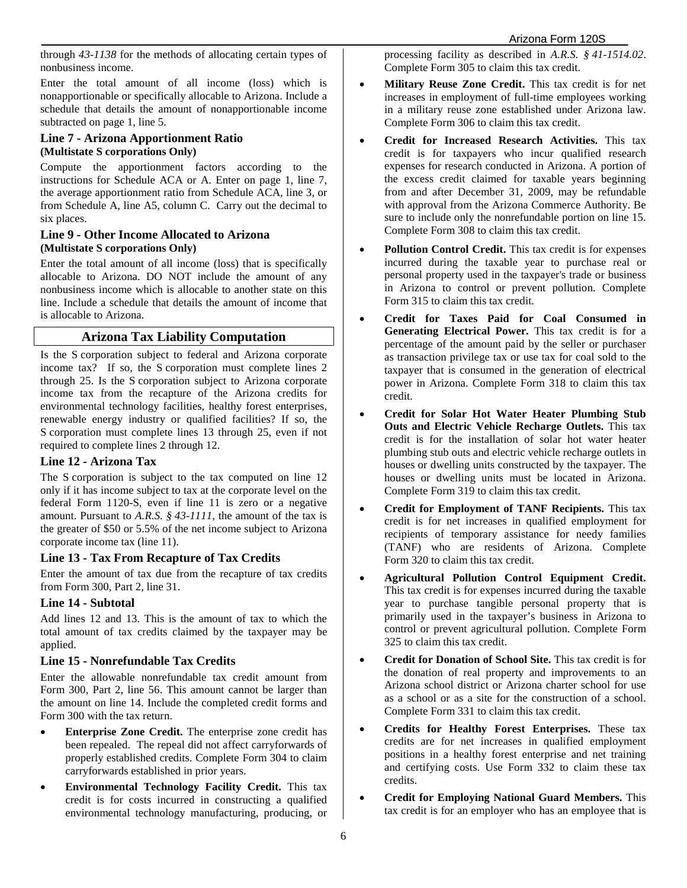through *43-1138* for the methods of allocating certain types of nonbusiness income.

Enter the total amount of all income (loss) which is nonapportionable or specifically allocable to Arizona. Include a schedule that details the amount of nonapportionable income subtracted on page 1, line 5.

### **Line 7 - Arizona Apportionment Ratio (Multistate S corporations Only)**

Compute the apportionment factors according to the instructions for Schedule ACA or A. Enter on page 1, line 7, the average apportionment ratio from Schedule ACA, line 3, or from Schedule A, line A5, column C. Carry out the decimal to six places.

#### **Line 9 - Other Income Allocated to Arizona (Multistate S corporations Only)**

Enter the total amount of all income (loss) that is specifically allocable to Arizona. DO NOT include the amount of any nonbusiness income which is allocable to another state on this line. Include a schedule that details the amount of income that is allocable to Arizona.

## **Arizona Tax Liability Computation**

Is the S corporation subject to federal and Arizona corporate income tax? If so, the S corporation must complete lines 2 through 25. Is the S corporation subject to Arizona corporate income tax from the recapture of the Arizona credits for environmental technology facilities, healthy forest enterprises, renewable energy industry or qualified facilities? If so, the S corporation must complete lines 13 through 25, even if not required to complete lines 2 through 12.

## **Line 12 - Arizona Tax**

The S corporation is subject to the tax computed on line 12 only if it has income subject to tax at the corporate level on the federal Form 1120-S, even if line 11 is zero or a negative amount. Pursuant to *A.R.S. § 43-1111*, the amount of the tax is the greater of \$50 or 5.5% of the net income subject to Arizona corporate income tax (line 11).

## **Line 13 - Tax From Recapture of Tax Credits**

Enter the amount of tax due from the recapture of tax credits from Form 300, Part 2, line 31.

## **Line 14 - Subtotal**

Add lines 12 and 13. This is the amount of tax to which the total amount of tax credits claimed by the taxpayer may be applied.

## **Line 15 - Nonrefundable Tax Credits**

Enter the allowable nonrefundable tax credit amount from Form 300, Part 2, line 56. This amount cannot be larger than the amount on line 14. Include the completed credit forms and Form 300 with the tax return.

- **Enterprise Zone Credit.** The enterprise zone credit has been repealed. The repeal did not affect carryforwards of properly established credits. Complete Form 304 to claim carryforwards established in prior years.
- **Environmental Technology Facility Credit.** This tax credit is for costs incurred in constructing a qualified environmental technology manufacturing, producing, or

processing facility as described in *A.R.S. § 41-1514.02*. Complete Form 305 to claim this tax credit.

- **Military Reuse Zone Credit.** This tax credit is for net increases in employment of full-time employees working in a military reuse zone established under Arizona law. Complete Form 306 to claim this tax credit.
- **Credit for Increased Research Activities.** This tax credit is for taxpayers who incur qualified research expenses for research conducted in Arizona. A portion of the excess credit claimed for taxable years beginning from and after December 31, 2009, may be refundable with approval from the Arizona Commerce Authority. Be sure to include only the nonrefundable portion on line 15. Complete Form 308 to claim this tax credit.
- **Pollution Control Credit.** This tax credit is for expenses incurred during the taxable year to purchase real or personal property used in the taxpayer's trade or business in Arizona to control or prevent pollution. Complete Form 315 to claim this tax credit.
- **Credit for Taxes Paid for Coal Consumed in Generating Electrical Power.** This tax credit is for a percentage of the amount paid by the seller or purchaser as transaction privilege tax or use tax for coal sold to the taxpayer that is consumed in the generation of electrical power in Arizona. Complete Form 318 to claim this tax credit.
- **Credit for Solar Hot Water Heater Plumbing Stub Outs and Electric Vehicle Recharge Outlets.** This tax credit is for the installation of solar hot water heater plumbing stub outs and electric vehicle recharge outlets in houses or dwelling units constructed by the taxpayer. The houses or dwelling units must be located in Arizona. Complete Form 319 to claim this tax credit.
- **Credit for Employment of TANF Recipients.** This tax credit is for net increases in qualified employment for recipients of temporary assistance for needy families (TANF) who are residents of Arizona. Complete Form 320 to claim this tax credit.
- **Agricultural Pollution Control Equipment Credit.** This tax credit is for expenses incurred during the taxable year to purchase tangible personal property that is primarily used in the taxpayer's business in Arizona to control or prevent agricultural pollution. Complete Form 325 to claim this tax credit.
- **Credit for Donation of School Site.** This tax credit is for the donation of real property and improvements to an Arizona school district or Arizona charter school for use as a school or as a site for the construction of a school. Complete Form 331 to claim this tax credit.
- **Credits for Healthy Forest Enterprises.** These tax credits are for net increases in qualified employment positions in a healthy forest enterprise and net training and certifying costs. Use Form 332 to claim these tax credits.
- **Credit for Employing National Guard Members.** This tax credit is for an employer who has an employee that is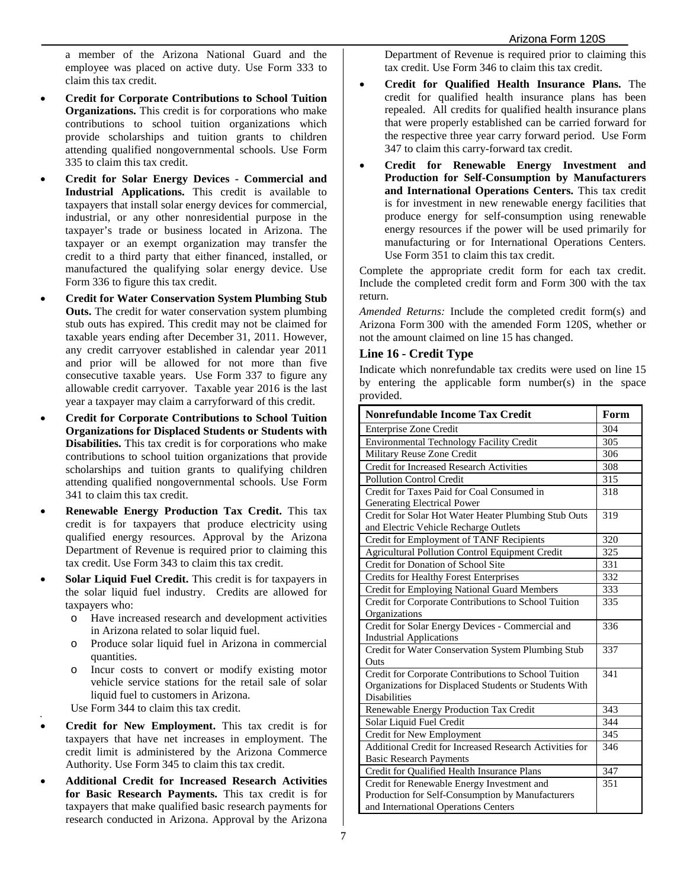a member of the Arizona National Guard and the employee was placed on active duty. Use Form 333 to claim this tax credit.

- **Credit for Corporate Contributions to School Tuition Organizations.** This credit is for corporations who make contributions to school tuition organizations which provide scholarships and tuition grants to children attending qualified nongovernmental schools. Use Form 335 to claim this tax credit.
- **Credit for Solar Energy Devices - Commercial and Industrial Applications.** This credit is available to taxpayers that install solar energy devices for commercial, industrial, or any other nonresidential purpose in the taxpayer's trade or business located in Arizona. The taxpayer or an exempt organization may transfer the credit to a third party that either financed, installed, or manufactured the qualifying solar energy device. Use Form 336 to figure this tax credit.
- **Credit for Water Conservation System Plumbing Stub Outs.** The credit for water conservation system plumbing stub outs has expired. This credit may not be claimed for taxable years ending after December 31, 2011. However, any credit carryover established in calendar year 2011 and prior will be allowed for not more than five consecutive taxable years. Use Form 337 to figure any allowable credit carryover. Taxable year 2016 is the last year a taxpayer may claim a carryforward of this credit.
- **Credit for Corporate Contributions to School Tuition Organizations for Displaced Students or Students with Disabilities.** This tax credit is for corporations who make contributions to school tuition organizations that provide scholarships and tuition grants to qualifying children attending qualified nongovernmental schools. Use Form 341 to claim this tax credit.
- **Renewable Energy Production Tax Credit.** This tax credit is for taxpayers that produce electricity using qualified energy resources. Approval by the Arizona Department of Revenue is required prior to claiming this tax credit. Use Form 343 to claim this tax credit.
- **Solar Liquid Fuel Credit.** This credit is for taxpayers in the solar liquid fuel industry. Credits are allowed for taxpayers who:
	- o Have increased research and development activities in Arizona related to solar liquid fuel.
	- o Produce solar liquid fuel in Arizona in commercial quantities.
	- o Incur costs to convert or modify existing motor vehicle service stations for the retail sale of solar liquid fuel to customers in Arizona.
	- Use Form 344 to claim this tax credit.

•

- **Credit for New Employment.** This tax credit is for taxpayers that have net increases in employment. The credit limit is administered by the Arizona Commerce Authority. Use Form 345 to claim this tax credit.
- **Additional Credit for Increased Research Activities for Basic Research Payments.** This tax credit is for taxpayers that make qualified basic research payments for research conducted in Arizona. Approval by the Arizona

Department of Revenue is required prior to claiming this tax credit. Use Form 346 to claim this tax credit.

- **Credit for Qualified Health Insurance Plans.** The credit for qualified health insurance plans has been repealed. All credits for qualified health insurance plans that were properly established can be carried forward for the respective three year carry forward period. Use Form 347 to claim this carry-forward tax credit.
- **Credit for Renewable Energy Investment and Production for Self-Consumption by Manufacturers and International Operations Centers.** This tax credit is for investment in new renewable energy facilities that produce energy for self-consumption using renewable energy resources if the power will be used primarily for manufacturing or for International Operations Centers. Use Form 351 to claim this tax credit.

Complete the appropriate credit form for each tax credit. Include the completed credit form and Form 300 with the tax return.

*Amended Returns:* Include the completed credit form(s) and Arizona Form 300 with the amended Form 120S, whether or not the amount claimed on line 15 has changed.

#### **Line 16 - Credit Type**

Indicate which nonrefundable tax credits were used on line 15 by entering the applicable form number(s) in the space provided.

| <b>Nonrefundable Income Tax Credit</b>                                                                                                 | Form |
|----------------------------------------------------------------------------------------------------------------------------------------|------|
| Enterprise Zone Credit                                                                                                                 | 304  |
| Environmental Technology Facility Credit                                                                                               | 305  |
| Military Reuse Zone Credit                                                                                                             | 306  |
| Credit for Increased Research Activities                                                                                               | 308  |
| Pollution Control Credit                                                                                                               | 315  |
| Credit for Taxes Paid for Coal Consumed in                                                                                             | 318  |
| Generating Electrical Power                                                                                                            |      |
| Credit for Solar Hot Water Heater Plumbing Stub Outs<br>and Electric Vehicle Recharge Outlets                                          | 319  |
| Credit for Employment of TANF Recipients                                                                                               | 320  |
| <b>Agricultural Pollution Control Equipment Credit</b>                                                                                 | 325  |
| Credit for Donation of School Site                                                                                                     | 331  |
| <b>Credits for Healthy Forest Enterprises</b>                                                                                          | 332  |
| Credit for Employing National Guard Members                                                                                            | 333  |
| Credit for Corporate Contributions to School Tuition<br>Organizations                                                                  | 335  |
| Credit for Solar Energy Devices - Commercial and<br><b>Industrial Applications</b>                                                     | 336  |
| Credit for Water Conservation System Plumbing Stub<br>Outs                                                                             | 337  |
| Credit for Corporate Contributions to School Tuition<br>Organizations for Displaced Students or Students With<br><b>Disabilities</b>   | 341  |
| Renewable Energy Production Tax Credit                                                                                                 | 343  |
| Solar Liquid Fuel Credit                                                                                                               | 344  |
| Credit for New Employment                                                                                                              | 345  |
| Additional Credit for Increased Research Activities for<br><b>Basic Research Payments</b>                                              | 346  |
| Credit for Qualified Health Insurance Plans                                                                                            | 347  |
| Credit for Renewable Energy Investment and<br>Production for Self-Consumption by Manufacturers<br>and International Operations Centers | 351  |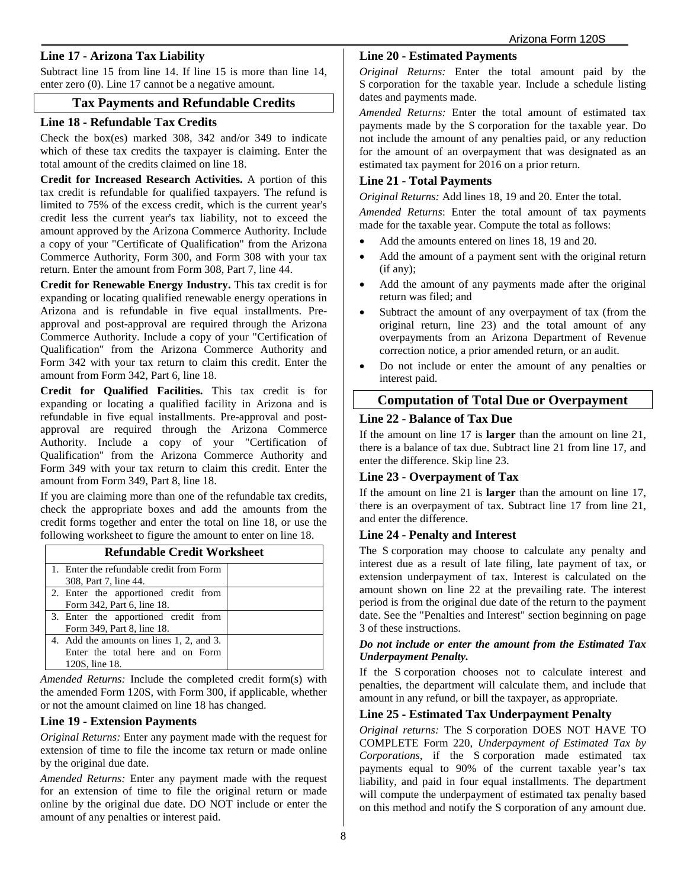### **Line 17 - Arizona Tax Liability**

Subtract line 15 from line 14. If line 15 is more than line 14, enter zero (0). Line 17 cannot be a negative amount.

#### **Tax Payments and Refundable Credits**

#### **Line 18 - Refundable Tax Credits**

Check the box(es) marked 308, 342 and/or 349 to indicate which of these tax credits the taxpayer is claiming. Enter the total amount of the credits claimed on line 18.

**Credit for Increased Research Activities.** A portion of this tax credit is refundable for qualified taxpayers. The refund is limited to 75% of the excess credit, which is the current year's credit less the current year's tax liability, not to exceed the amount approved by the Arizona Commerce Authority. Include a copy of your "Certificate of Qualification" from the Arizona Commerce Authority, Form 300, and Form 308 with your tax return. Enter the amount from Form 308, Part 7, line 44.

**Credit for Renewable Energy Industry.** This tax credit is for expanding or locating qualified renewable energy operations in Arizona and is refundable in five equal installments. Preapproval and post-approval are required through the Arizona Commerce Authority. Include a copy of your "Certification of Qualification" from the Arizona Commerce Authority and Form 342 with your tax return to claim this credit. Enter the amount from Form 342, Part 6, line 18.

**Credit for Qualified Facilities.** This tax credit is for expanding or locating a qualified facility in Arizona and is refundable in five equal installments. Pre-approval and postapproval are required through the Arizona Commerce Authority. Include a copy of your "Certification of Qualification" from the Arizona Commerce Authority and Form 349 with your tax return to claim this credit. Enter the amount from Form 349, Part 8, line 18.

If you are claiming more than one of the refundable tax credits, check the appropriate boxes and add the amounts from the credit forms together and enter the total on line 18, or use the following worksheet to figure the amount to enter on line 18.

| <b>Refundable Credit Worksheet</b>       |  |  |  |  |  |
|------------------------------------------|--|--|--|--|--|
| 1. Enter the refundable credit from Form |  |  |  |  |  |
| 308, Part 7, line 44.                    |  |  |  |  |  |
| 2. Enter the apportioned credit from     |  |  |  |  |  |
| Form 342, Part 6, line 18.               |  |  |  |  |  |
| 3. Enter the apportioned credit from     |  |  |  |  |  |
| Form 349, Part 8, line 18.               |  |  |  |  |  |
| 4. Add the amounts on lines 1, 2, and 3. |  |  |  |  |  |
| Enter the total here and on Form         |  |  |  |  |  |
| 120S, line 18.                           |  |  |  |  |  |

*Amended Returns:* Include the completed credit form(s) with the amended Form 120S, with Form 300, if applicable, whether or not the amount claimed on line 18 has changed.

#### **Line 19 - Extension Payments**

*Original Returns:* Enter any payment made with the request for extension of time to file the income tax return or made online by the original due date.

*Amended Returns:* Enter any payment made with the request for an extension of time to file the original return or made online by the original due date. DO NOT include or enter the amount of any penalties or interest paid.

### **Line 20 - Estimated Payments**

*Original Returns:* Enter the total amount paid by the S corporation for the taxable year. Include a schedule listing dates and payments made.

*Amended Returns:* Enter the total amount of estimated tax payments made by the S corporation for the taxable year. Do not include the amount of any penalties paid, or any reduction for the amount of an overpayment that was designated as an estimated tax payment for 2016 on a prior return.

#### **Line 21 - Total Payments**

*Original Returns:* Add lines 18, 19 and 20. Enter the total.

*Amended Returns*: Enter the total amount of tax payments made for the taxable year. Compute the total as follows:

- Add the amounts entered on lines 18, 19 and 20.
- Add the amount of a payment sent with the original return (if any);
- Add the amount of any payments made after the original return was filed; and
- Subtract the amount of any overpayment of tax (from the original return, line 23) and the total amount of any overpayments from an Arizona Department of Revenue correction notice, a prior amended return, or an audit.
- Do not include or enter the amount of any penalties or interest paid.

#### **Computation of Total Due or Overpayment**

### **Line 22 - Balance of Tax Due**

If the amount on line 17 is **larger** than the amount on line 21, there is a balance of tax due. Subtract line 21 from line 17, and enter the difference. Skip line 23.

#### **Line 23 - Overpayment of Tax**

If the amount on line 21 is **larger** than the amount on line 17, there is an overpayment of tax. Subtract line 17 from line 21, and enter the difference.

#### **Line 24 - Penalty and Interest**

The S corporation may choose to calculate any penalty and interest due as a result of late filing, late payment of tax, or extension underpayment of tax. Interest is calculated on the amount shown on line 22 at the prevailing rate. The interest period is from the original due date of the return to the payment date. See the "Penalties and Interest" section beginning on page 3 of these instructions.

#### *Do not include or enter the amount from the Estimated Tax Underpayment Penalty.*

If the S corporation chooses not to calculate interest and penalties, the department will calculate them, and include that amount in any refund, or bill the taxpayer, as appropriate.

#### **Line 25 - Estimated Tax Underpayment Penalty**

*Original returns:* The S corporation DOES NOT HAVE TO COMPLETE Form 220, *Underpayment of Estimated Tax by Corporations*, if the S corporation made estimated tax payments equal to 90% of the current taxable year's tax liability, and paid in four equal installments. The department will compute the underpayment of estimated tax penalty based on this method and notify the S corporation of any amount due.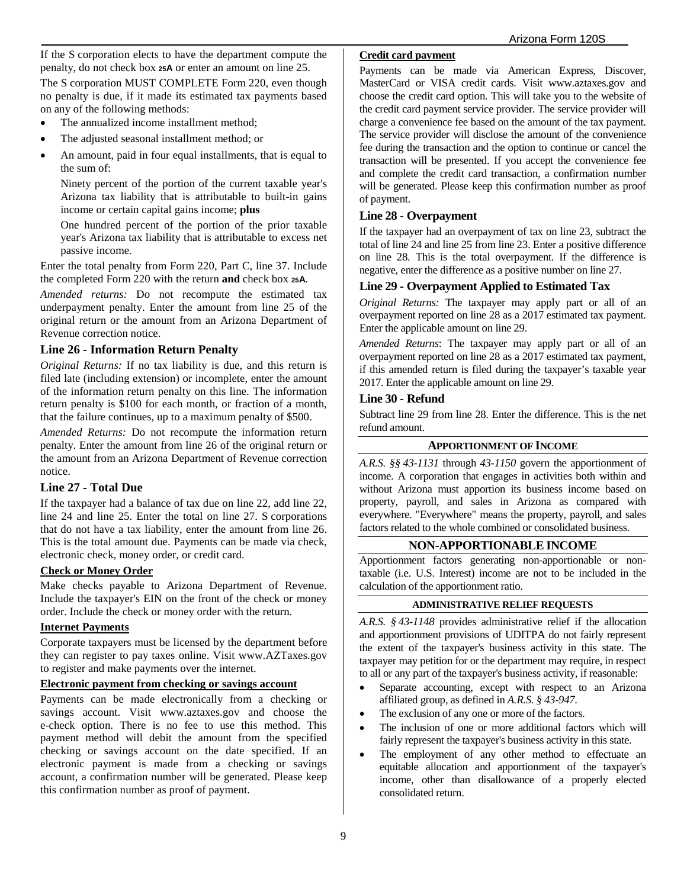If the S corporation elects to have the department compute the penalty, do not check box **25A** or enter an amount on line 25.

The S corporation MUST COMPLETE Form 220, even though no penalty is due, if it made its estimated tax payments based on any of the following methods:

- The annualized income installment method:
- The adjusted seasonal installment method; or
- An amount, paid in four equal installments, that is equal to the sum of:

Ninety percent of the portion of the current taxable year's Arizona tax liability that is attributable to built-in gains income or certain capital gains income; **plus**

One hundred percent of the portion of the prior taxable year's Arizona tax liability that is attributable to excess net passive income.

Enter the total penalty from Form 220, Part C, line 37. Include the completed Form 220 with the return **and** check box **25A**.

*Amended returns:* Do not recompute the estimated tax underpayment penalty. Enter the amount from line 25 of the original return or the amount from an Arizona Department of Revenue correction notice.

#### **Line 26 - Information Return Penalty**

*Original Returns:* If no tax liability is due, and this return is filed late (including extension) or incomplete, enter the amount of the information return penalty on this line. The information return penalty is \$100 for each month, or fraction of a month, that the failure continues, up to a maximum penalty of \$500.

*Amended Returns:* Do not recompute the information return penalty. Enter the amount from line 26 of the original return or the amount from an Arizona Department of Revenue correction notice.

#### **Line 27 - Total Due**

If the taxpayer had a balance of tax due on line 22, add line 22, line 24 and line 25. Enter the total on line 27. S corporations that do not have a tax liability, enter the amount from line 26. This is the total amount due. Payments can be made via check, electronic check, money order, or credit card.

#### **Check or Money Order**

Make checks payable to Arizona Department of Revenue. Include the taxpayer's EIN on the front of the check or money order. Include the check or money order with the return.

#### **Internet Payments**

Corporate taxpayers must be licensed by the department before they can register to pay taxes online. Visit www.AZTaxes.gov to register and make payments over the internet.

### **Electronic payment from checking or savings account**

Payments can be made electronically from a checking or savings account. Visit www.aztaxes.gov and choose the e-check option. There is no fee to use this method. This payment method will debit the amount from the specified checking or savings account on the date specified. If an electronic payment is made from a checking or savings account, a confirmation number will be generated. Please keep this confirmation number as proof of payment.

#### **Credit card payment**

Payments can be made via American Express, Discover, MasterCard or VISA credit cards. Visit www.aztaxes.gov and choose the credit card option. This will take you to the website of the credit card payment service provider. The service provider will charge a convenience fee based on the amount of the tax payment. The service provider will disclose the amount of the convenience fee during the transaction and the option to continue or cancel the transaction will be presented. If you accept the convenience fee and complete the credit card transaction, a confirmation number will be generated. Please keep this confirmation number as proof of payment.

### **Line 28 - Overpayment**

If the taxpayer had an overpayment of tax on line 23, subtract the total of line 24 and line 25 from line 23. Enter a positive difference on line 28. This is the total overpayment. If the difference is negative, enter the difference as a positive number on line 27.

### **Line 29 - Overpayment Applied to Estimated Tax**

*Original Returns:* The taxpayer may apply part or all of an overpayment reported on line 28 as a 2017 estimated tax payment. Enter the applicable amount on line 29.

*Amended Returns*: The taxpayer may apply part or all of an overpayment reported on line 28 as a 2017 estimated tax payment, if this amended return is filed during the taxpayer's taxable year 2017. Enter the applicable amount on line 29.

#### **Line 30 - Refund**

Subtract line 29 from line 28. Enter the difference. This is the net refund amount.

#### **APPORTIONMENT OF INCOME**

*A.R.S. §§ 43-1131* through *43-1150* govern the apportionment of income. A corporation that engages in activities both within and without Arizona must apportion its business income based on property, payroll, and sales in Arizona as compared with everywhere. "Everywhere" means the property, payroll, and sales factors related to the whole combined or consolidated business.

#### **NON-APPORTIONABLE INCOME**

Apportionment factors generating non-apportionable or nontaxable (i.e. U.S. Interest) income are not to be included in the calculation of the apportionment ratio.

#### **ADMINISTRATIVE RELIEF REQUESTS**

*A.R.S. § 43-1148* provides administrative relief if the allocation and apportionment provisions of UDITPA do not fairly represent the extent of the taxpayer's business activity in this state. The taxpayer may petition for or the department may require, in respect to all or any part of the taxpayer's business activity, if reasonable:

- Separate accounting, except with respect to an Arizona affiliated group, as defined in *A.R.S. § 43-947*.
- The exclusion of any one or more of the factors.
- The inclusion of one or more additional factors which will fairly represent the taxpayer's business activity in this state.
- The employment of any other method to effectuate an equitable allocation and apportionment of the taxpayer's income, other than disallowance of a properly elected consolidated return.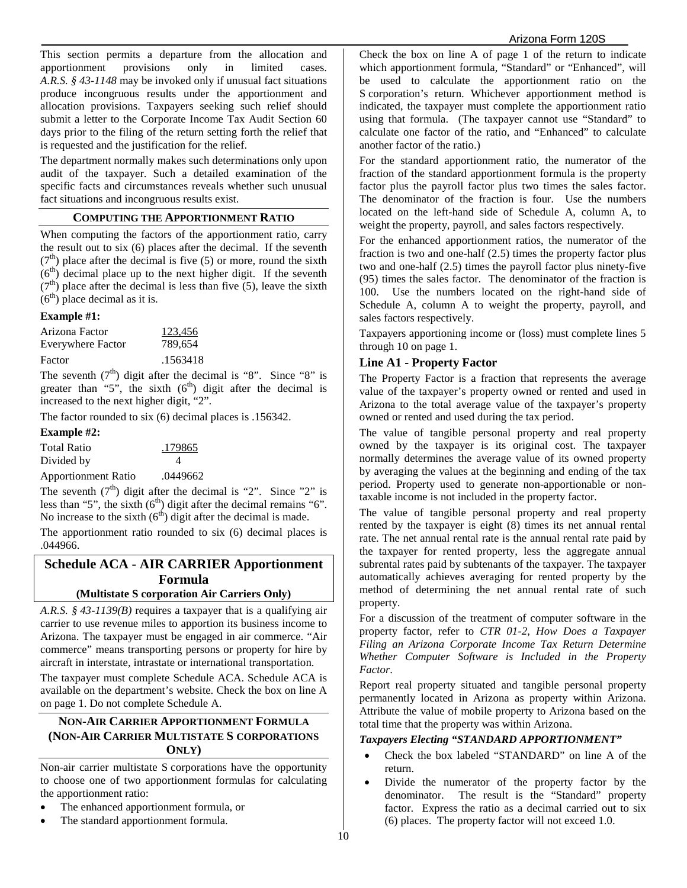This section permits a departure from the allocation and apportionment provisions only in limited cases. *A.R.S. § 43-1148* may be invoked only if unusual fact situations produce incongruous results under the apportionment and allocation provisions. Taxpayers seeking such relief should submit a letter to the Corporate Income Tax Audit Section 60 days prior to the filing of the return setting forth the relief that is requested and the justification for the relief.

The department normally makes such determinations only upon audit of the taxpayer. Such a detailed examination of the specific facts and circumstances reveals whether such unusual fact situations and incongruous results exist.

#### **COMPUTING THE APPORTIONMENT RATIO**

When computing the factors of the apportionment ratio, carry the result out to six (6) places after the decimal. If the seventh  $(7<sup>th</sup>)$  place after the decimal is five (5) or more, round the sixth  $(6<sup>th</sup>)$  decimal place up to the next higher digit. If the seventh  $(7<sup>th</sup>)$  place after the decimal is less than five (5), leave the sixth  $(6<sup>th</sup>)$  place decimal as it is.

#### **Example #1:**

| Arizona Factor    | 123,456  |
|-------------------|----------|
| Everywhere Factor | 789.654  |
| Factor            | .1563418 |

The seventh  $(7<sup>th</sup>)$  digit after the decimal is "8". Since "8" is greater than "5", the sixth  $(6<sup>th</sup>)$  digit after the decimal is increased to the next higher digit, "2".

The factor rounded to six (6) decimal places is .156342.

#### **Example #2:**

| Total Ratio                | .179865  |
|----------------------------|----------|
| Divided by                 | Δ        |
| <b>Apportionment Ratio</b> | .0449662 |

The seventh  $(7<sup>th</sup>)$  digit after the decimal is "2". Since "2" is less than "5", the sixth (6<sup>th</sup>) digit after the decimal remains "6". No increase to the sixth  $(6<sup>th</sup>)$  digit after the decimal is made.

The apportionment ratio rounded to six (6) decimal places is .044966.

## **Schedule ACA - AIR CARRIER Apportionment Formula**

### **(Multistate S corporation Air Carriers Only)**

*A.R.S. § 43-1139(B)* requires a taxpayer that is a qualifying air carrier to use revenue miles to apportion its business income to Arizona. The taxpayer must be engaged in air commerce. "Air commerce" means transporting persons or property for hire by aircraft in interstate, intrastate or international transportation.

The taxpayer must complete Schedule ACA. Schedule ACA is available on the department's website. Check the box on line A on page 1. Do not complete Schedule A.

### **NON-AIR CARRIER APPORTIONMENT FORMULA (NON-AIR CARRIER MULTISTATE S CORPORATIONS ONLY)**

Non-air carrier multistate S corporations have the opportunity to choose one of two apportionment formulas for calculating the apportionment ratio:

- The enhanced apportionment formula, or
- The standard apportionment formula.

Check the box on line A of page 1 of the return to indicate which apportionment formula, "Standard" or "Enhanced", will be used to calculate the apportionment ratio on the S corporation's return. Whichever apportionment method is indicated, the taxpayer must complete the apportionment ratio using that formula. (The taxpayer cannot use "Standard" to calculate one factor of the ratio, and "Enhanced" to calculate another factor of the ratio.)

For the standard apportionment ratio, the numerator of the fraction of the standard apportionment formula is the property factor plus the payroll factor plus two times the sales factor. The denominator of the fraction is four. Use the numbers located on the left-hand side of Schedule A, column A, to weight the property, payroll, and sales factors respectively.

For the enhanced apportionment ratios, the numerator of the fraction is two and one-half (2.5) times the property factor plus two and one-half (2.5) times the payroll factor plus ninety-five (95) times the sales factor. The denominator of the fraction is 100. Use the numbers located on the right-hand side of Schedule A, column A to weight the property, payroll, and sales factors respectively.

Taxpayers apportioning income or (loss) must complete lines 5 through 10 on page 1.

#### **Line A1 - Property Factor**

The Property Factor is a fraction that represents the average value of the taxpayer's property owned or rented and used in Arizona to the total average value of the taxpayer's property owned or rented and used during the tax period.

The value of tangible personal property and real property owned by the taxpayer is its original cost. The taxpayer normally determines the average value of its owned property by averaging the values at the beginning and ending of the tax period. Property used to generate non-apportionable or nontaxable income is not included in the property factor.

The value of tangible personal property and real property rented by the taxpayer is eight (8) times its net annual rental rate. The net annual rental rate is the annual rental rate paid by the taxpayer for rented property, less the aggregate annual subrental rates paid by subtenants of the taxpayer. The taxpayer automatically achieves averaging for rented property by the method of determining the net annual rental rate of such property.

For a discussion of the treatment of computer software in the property factor, refer to *CTR 01-2*, *How Does a Taxpayer Filing an Arizona Corporate Income Tax Return Determine Whether Computer Software is Included in the Property Factor*.

Report real property situated and tangible personal property permanently located in Arizona as property within Arizona. Attribute the value of mobile property to Arizona based on the total time that the property was within Arizona.

#### *Taxpayers Electing "STANDARD APPORTIONMENT"*

- Check the box labeled "STANDARD" on line A of the return.
- Divide the numerator of the property factor by the denominator. The result is the "Standard" property factor. Express the ratio as a decimal carried out to six (6) places. The property factor will not exceed 1.0.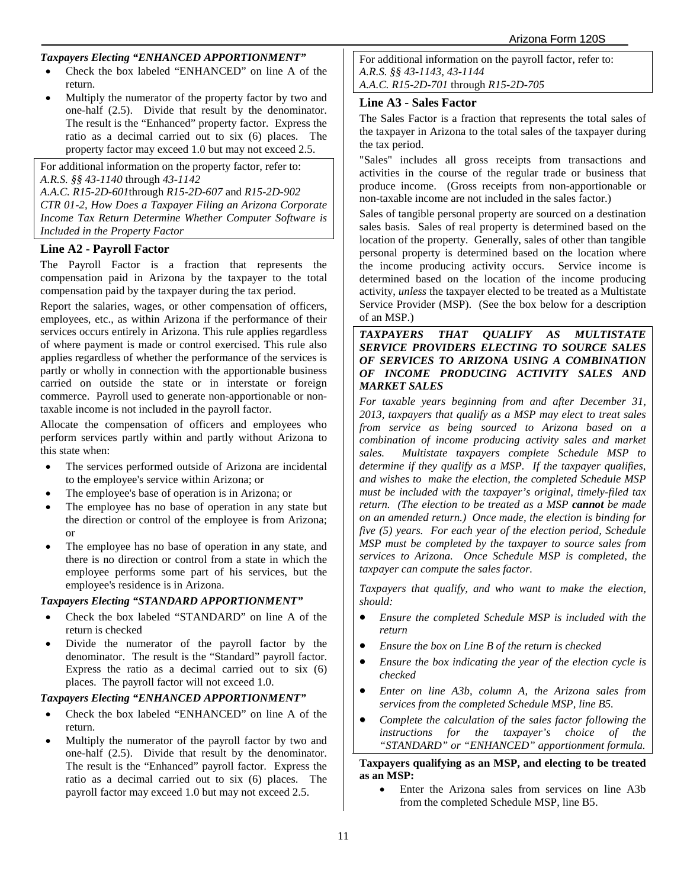#### *Taxpayers Electing "ENHANCED APPORTIONMENT"*

- Check the box labeled "ENHANCED" on line A of the return.
- Multiply the numerator of the property factor by two and one-half (2.5). Divide that result by the denominator. The result is the "Enhanced" property factor. Express the ratio as a decimal carried out to six (6) places. The property factor may exceed 1.0 but may not exceed 2.5.

For additional information on the property factor, refer to: *A.R.S. §§ 43-1140* through *43-1142 A.A.C. R15-2D-601*through *R15-2D-607* and *R15-2D-902 CTR 01-2, How Does a Taxpayer Filing an Arizona Corporate Income Tax Return Determine Whether Computer Software is Included in the Property Factor*

#### **Line A2 - Payroll Factor**

The Payroll Factor is a fraction that represents the compensation paid in Arizona by the taxpayer to the total compensation paid by the taxpayer during the tax period.

Report the salaries, wages, or other compensation of officers, employees, etc., as within Arizona if the performance of their services occurs entirely in Arizona. This rule applies regardless of where payment is made or control exercised. This rule also applies regardless of whether the performance of the services is partly or wholly in connection with the apportionable business carried on outside the state or in interstate or foreign commerce. Payroll used to generate non-apportionable or nontaxable income is not included in the payroll factor.

Allocate the compensation of officers and employees who perform services partly within and partly without Arizona to this state when:

- The services performed outside of Arizona are incidental to the employee's service within Arizona; or
- The employee's base of operation is in Arizona; or
- The employee has no base of operation in any state but the direction or control of the employee is from Arizona; or
- The employee has no base of operation in any state, and there is no direction or control from a state in which the employee performs some part of his services, but the employee's residence is in Arizona.

#### *Taxpayers Electing "STANDARD APPORTIONMENT"*

- Check the box labeled "STANDARD" on line A of the return is checked
- Divide the numerator of the payroll factor by the denominator. The result is the "Standard" payroll factor. Express the ratio as a decimal carried out to six (6) places. The payroll factor will not exceed 1.0.

#### *Taxpayers Electing "ENHANCED APPORTIONMENT"*

- Check the box labeled "ENHANCED" on line A of the return.
- Multiply the numerator of the payroll factor by two and one-half (2.5). Divide that result by the denominator. The result is the "Enhanced" payroll factor. Express the ratio as a decimal carried out to six (6) places. The payroll factor may exceed 1.0 but may not exceed 2.5.

For additional information on the payroll factor, refer to: *A.R.S. §§ 43-1143, 43-1144 A.A.C. R15-2D-701* through *R15-2D-705*

#### **Line A3 - Sales Factor**

The Sales Factor is a fraction that represents the total sales of the taxpayer in Arizona to the total sales of the taxpayer during the tax period.

"Sales" includes all gross receipts from transactions and activities in the course of the regular trade or business that produce income. (Gross receipts from non-apportionable or non-taxable income are not included in the sales factor.)

Sales of tangible personal property are sourced on a destination sales basis. Sales of real property is determined based on the location of the property. Generally, sales of other than tangible personal property is determined based on the location where the income producing activity occurs. Service income is determined based on the location of the income producing activity, *unless* the taxpayer elected to be treated as a Multistate Service Provider (MSP). (See the box below for a description of an MSP.)

#### *TAXPAYERS THAT QUALIFY AS MULTISTATE SERVICE PROVIDERS ELECTING TO SOURCE SALES OF SERVICES TO ARIZONA USING A COMBINATION OF INCOME PRODUCING ACTIVITY SALES AND MARKET SALES*

*For taxable years beginning from and after December 31, 2013, taxpayers that qualify as a MSP may elect to treat sales from service as being sourced to Arizona based on a combination of income producing activity sales and market sales. Multistate taxpayers complete Schedule MSP to determine if they qualify as a MSP. If the taxpayer qualifies, and wishes to make the election, the completed Schedule MSP must be included with the taxpayer's original, timely-filed tax return. (The election to be treated as a MSP cannot be made on an amended return.) Once made, the election is binding for five (5) years. For each year of the election period, Schedule MSP must be completed by the taxpayer to source sales from services to Arizona. Once Schedule MSP is completed, the taxpayer can compute the sales factor.* 

*Taxpayers that qualify, and who want to make the election, should:* 

- *Ensure the completed Schedule MSP is included with the return*
- *Ensure the box on Line B of the return is checked*
- *Ensure the box indicating the year of the election cycle is checked*
- *Enter on line A3b, column A, the Arizona sales from services from the completed Schedule MSP, line B5.*
- *Complete the calculation of the sales factor following the instructions for the taxpayer's choice of the "STANDARD" or "ENHANCED" apportionment formula.*

**Taxpayers qualifying as an MSP, and electing to be treated as an MSP:**

• Enter the Arizona sales from services on line A3b from the completed Schedule MSP, line B5.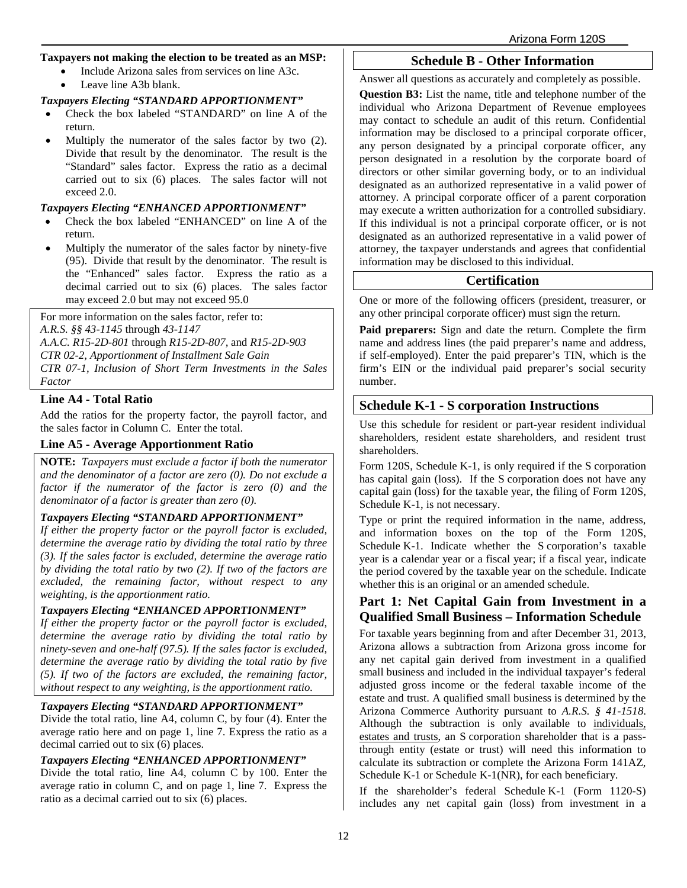#### **Taxpayers not making the election to be treated as an MSP:**

- Include Arizona sales from services on line A3c.
- Leave line A3b blank.

#### *Taxpayers Electing "STANDARD APPORTIONMENT"*

- Check the box labeled "STANDARD" on line A of the return.
- Multiply the numerator of the sales factor by two  $(2)$ . Divide that result by the denominator. The result is the "Standard" sales factor. Express the ratio as a decimal carried out to six (6) places. The sales factor will not exceed 2.0.

#### *Taxpayers Electing "ENHANCED APPORTIONMENT"*

- Check the box labeled "ENHANCED" on line A of the return.
- Multiply the numerator of the sales factor by ninety-five (95). Divide that result by the denominator. The result is the "Enhanced" sales factor. Express the ratio as a decimal carried out to six (6) places. The sales factor may exceed 2.0 but may not exceed 95.0

For more information on the sales factor, refer to: *A.R.S. §§ 43-1145* through *43-1147 A.A.C. R15-2D-801* through *R15-2D-807,* and *R15-2D-903 CTR 02-2, Apportionment of Installment Sale Gain CTR 07-1, Inclusion of Short Term Investments in the Sales Factor*

### **Line A4 - Total Ratio**

Add the ratios for the property factor, the payroll factor, and the sales factor in Column C. Enter the total.

### **Line A5 - Average Apportionment Ratio**

**NOTE:** *Taxpayers must exclude a factor if both the numerator and the denominator of a factor are zero (0). Do not exclude a factor if the numerator of the factor is zero (0) and the denominator of a factor is greater than zero (0).*

#### *Taxpayers Electing "STANDARD APPORTIONMENT"*

*If either the property factor or the payroll factor is excluded, determine the average ratio by dividing the total ratio by three (3). If the sales factor is excluded, determine the average ratio by dividing the total ratio by two (2). If two of the factors are excluded, the remaining factor, without respect to any weighting, is the apportionment ratio.*

### *Taxpayers Electing "ENHANCED APPORTIONMENT"*

*If either the property factor or the payroll factor is excluded, determine the average ratio by dividing the total ratio by ninety-seven and one-half (97.5). If the sales factor is excluded, determine the average ratio by dividing the total ratio by five (5). If two of the factors are excluded, the remaining factor, without respect to any weighting, is the apportionment ratio.*

#### *Taxpayers Electing "STANDARD APPORTIONMENT"*

Divide the total ratio, line A4, column C, by four (4). Enter the average ratio here and on page 1, line 7. Express the ratio as a decimal carried out to six (6) places.

#### *Taxpayers Electing "ENHANCED APPORTIONMENT"*

Divide the total ratio, line A4, column C by 100. Enter the average ratio in column C, and on page 1, line 7. Express the ratio as a decimal carried out to six (6) places.

### **Schedule B - Other Information**

Answer all questions as accurately and completely as possible.

**Question B3:** List the name, title and telephone number of the individual who Arizona Department of Revenue employees may contact to schedule an audit of this return. Confidential information may be disclosed to a principal corporate officer, any person designated by a principal corporate officer, any person designated in a resolution by the corporate board of directors or other similar governing body, or to an individual designated as an authorized representative in a valid power of attorney. A principal corporate officer of a parent corporation may execute a written authorization for a controlled subsidiary. If this individual is not a principal corporate officer, or is not designated as an authorized representative in a valid power of attorney, the taxpayer understands and agrees that confidential information may be disclosed to this individual.

## **Certification**

One or more of the following officers (president, treasurer, or any other principal corporate officer) must sign the return.

**Paid preparers:** Sign and date the return. Complete the firm name and address lines (the paid preparer's name and address, if self-employed). Enter the paid preparer's TIN, which is the firm's EIN or the individual paid preparer's social security number.

## **Schedule K-1 - S corporation Instructions**

Use this schedule for resident or part-year resident individual shareholders, resident estate shareholders, and resident trust shareholders.

Form 120S, Schedule K-1, is only required if the S corporation has capital gain (loss). If the S corporation does not have any capital gain (loss) for the taxable year, the filing of Form 120S, Schedule K-1, is not necessary.

Type or print the required information in the name, address, and information boxes on the top of the Form 120S, Schedule K-1. Indicate whether the S corporation's taxable year is a calendar year or a fiscal year; if a fiscal year, indicate the period covered by the taxable year on the schedule. Indicate whether this is an original or an amended schedule.

## **Part 1: Net Capital Gain from Investment in a Qualified Small Business – Information Schedule**

For taxable years beginning from and after December 31, 2013, Arizona allows a subtraction from Arizona gross income for any net capital gain derived from investment in a qualified small business and included in the individual taxpayer's federal adjusted gross income or the federal taxable income of the estate and trust. A qualified small business is determined by the Arizona Commerce Authority pursuant to *A.R.S. § 41-1518*. Although the subtraction is only available to individuals, estates and trusts, an S corporation shareholder that is a passthrough entity (estate or trust) will need this information to calculate its subtraction or complete the Arizona Form 141AZ, Schedule K-1 or Schedule K-1(NR), for each beneficiary.

If the shareholder's federal Schedule K-1 (Form 1120-S) includes any net capital gain (loss) from investment in a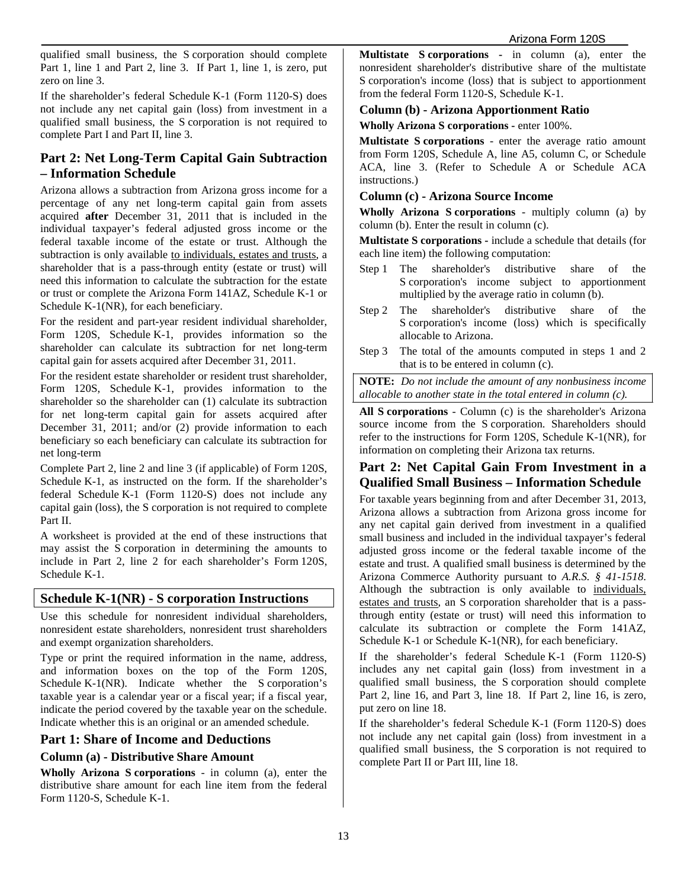qualified small business, the S corporation should complete Part 1, line 1 and Part 2, line 3. If Part 1, line 1, is zero, put zero on line 3.

If the shareholder's federal Schedule K-1 (Form 1120-S) does not include any net capital gain (loss) from investment in a qualified small business, the S corporation is not required to complete Part I and Part II, line 3.

## **Part 2: Net Long-Term Capital Gain Subtraction – Information Schedule**

Arizona allows a subtraction from Arizona gross income for a percentage of any net long-term capital gain from assets acquired **after** December 31, 2011 that is included in the individual taxpayer's federal adjusted gross income or the federal taxable income of the estate or trust. Although the subtraction is only available to individuals, estates and trusts, a shareholder that is a pass-through entity (estate or trust) will need this information to calculate the subtraction for the estate or trust or complete the Arizona Form 141AZ, Schedule K-1 or Schedule K-1(NR), for each beneficiary.

For the resident and part-year resident individual shareholder, Form 120S, Schedule K-1, provides information so the shareholder can calculate its subtraction for net long-term capital gain for assets acquired after December 31, 2011.

For the resident estate shareholder or resident trust shareholder, Form 120S, Schedule K-1, provides information to the shareholder so the shareholder can (1) calculate its subtraction for net long-term capital gain for assets acquired after December 31, 2011; and/or (2) provide information to each beneficiary so each beneficiary can calculate its subtraction for net long-term

Complete Part 2, line 2 and line 3 (if applicable) of Form 120S, Schedule K-1, as instructed on the form. If the shareholder's federal Schedule K-1 (Form 1120-S) does not include any capital gain (loss), the S corporation is not required to complete Part II.

A worksheet is provided at the end of these instructions that may assist the S corporation in determining the amounts to include in Part 2, line 2 for each shareholder's Form 120S, Schedule K-1.

## **Schedule K-1(NR) - S corporation Instructions**

Use this schedule for nonresident individual shareholders, nonresident estate shareholders, nonresident trust shareholders and exempt organization shareholders.

Type or print the required information in the name, address, and information boxes on the top of the Form 120S, Schedule K-1(NR). Indicate whether the S corporation's taxable year is a calendar year or a fiscal year; if a fiscal year, indicate the period covered by the taxable year on the schedule. Indicate whether this is an original or an amended schedule.

## **Part 1: Share of Income and Deductions**

## **Column (a) - Distributive Share Amount**

**Wholly Arizona S corporations** - in column (a), enter the distributive share amount for each line item from the federal Form 1120-S, Schedule K-1.

**Multistate S corporations -** in column (a), enter the nonresident shareholder's distributive share of the multistate S corporation's income (loss) that is subject to apportionment from the federal Form 1120-S, Schedule K-1.

### **Column (b) - Arizona Apportionment Ratio**

**Wholly Arizona S corporations -** enter 100%.

**Multistate S corporations** - enter the average ratio amount from Form 120S, Schedule A, line A5, column C, or Schedule ACA, line 3. (Refer to Schedule A or Schedule ACA instructions.)

### **Column (c) - Arizona Source Income**

**Wholly Arizona S corporations** - multiply column (a) by column (b). Enter the result in column (c).

**Multistate S corporations -** include a schedule that details (for each line item) the following computation:

- Step 1 The shareholder's distributive share of the S corporation's income subject to apportionment multiplied by the average ratio in column (b).
- Step 2 The shareholder's distributive share of the S corporation's income (loss) which is specifically allocable to Arizona.
- Step 3 The total of the amounts computed in steps 1 and 2 that is to be entered in column (c).

**NOTE:** *Do not include the amount of any nonbusiness income allocable to another state in the total entered in column (c).*

**All S corporations** - Column (c) is the shareholder's Arizona source income from the S corporation. Shareholders should refer to the instructions for Form 120S, Schedule K-1(NR), for information on completing their Arizona tax returns.

## **Part 2: Net Capital Gain From Investment in a Qualified Small Business – Information Schedule**

For taxable years beginning from and after December 31, 2013, Arizona allows a subtraction from Arizona gross income for any net capital gain derived from investment in a qualified small business and included in the individual taxpayer's federal adjusted gross income or the federal taxable income of the estate and trust. A qualified small business is determined by the Arizona Commerce Authority pursuant to *A.R.S. § 41-1518*. Although the subtraction is only available to individuals, estates and trusts, an S corporation shareholder that is a passthrough entity (estate or trust) will need this information to calculate its subtraction or complete the Form 141AZ, Schedule K-1 or Schedule K-1(NR), for each beneficiary.

If the shareholder's federal Schedule K-1 (Form 1120-S) includes any net capital gain (loss) from investment in a qualified small business, the S corporation should complete Part 2, line 16, and Part 3, line 18. If Part 2, line 16, is zero, put zero on line 18.

If the shareholder's federal Schedule K-1 (Form 1120-S) does not include any net capital gain (loss) from investment in a qualified small business, the S corporation is not required to complete Part II or Part III, line 18.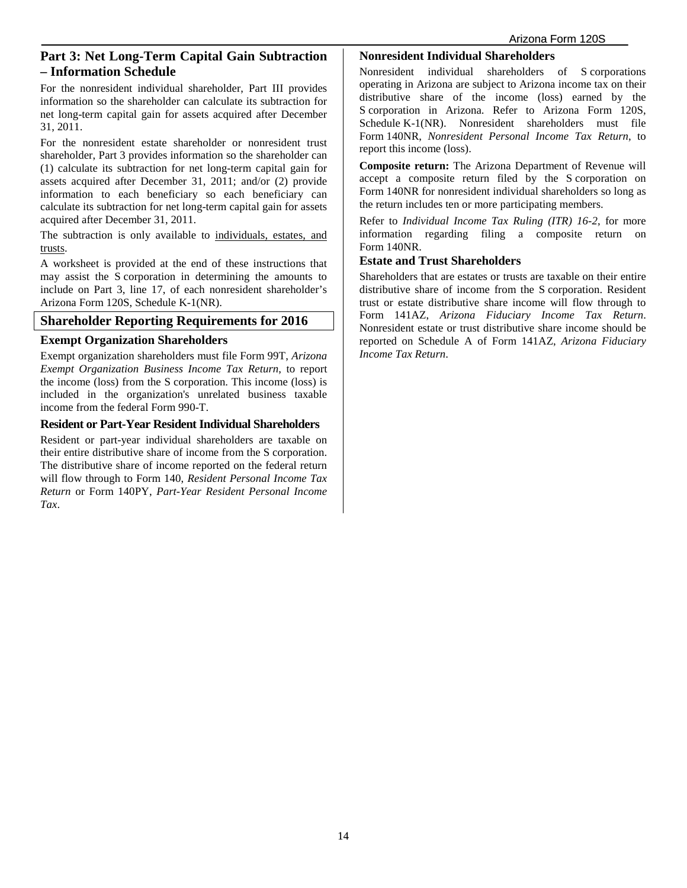## **Part 3: Net Long-Term Capital Gain Subtraction – Information Schedule**

For the nonresident individual shareholder, Part III provides information so the shareholder can calculate its subtraction for net long-term capital gain for assets acquired after December 31, 2011.

For the nonresident estate shareholder or nonresident trust shareholder, Part 3 provides information so the shareholder can (1) calculate its subtraction for net long-term capital gain for assets acquired after December 31, 2011; and/or (2) provide information to each beneficiary so each beneficiary can calculate its subtraction for net long-term capital gain for assets acquired after December 31, 2011.

The subtraction is only available to individuals, estates, and trusts.

A worksheet is provided at the end of these instructions that may assist the S corporation in determining the amounts to include on Part 3, line 17, of each nonresident shareholder's Arizona Form 120S, Schedule K-1(NR).

## **Shareholder Reporting Requirements for 2016**

### **Exempt Organization Shareholders**

Exempt organization shareholders must file Form 99T, *Arizona Exempt Organization Business Income Tax Return*, to report the income (loss) from the S corporation. This income (loss) is included in the organization's unrelated business taxable income from the federal Form 990-T.

### **Resident or Part-Year Resident Individual Shareholders**

Resident or part-year individual shareholders are taxable on their entire distributive share of income from the S corporation. The distributive share of income reported on the federal return will flow through to Form 140, *Resident Personal Income Tax Return* or Form 140PY, *Part-Year Resident Personal Income Tax*.

### **Nonresident Individual Shareholders**

Nonresident individual shareholders of S corporations operating in Arizona are subject to Arizona income tax on their distributive share of the income (loss) earned by the S corporation in Arizona. Refer to Arizona Form 120S, Schedule K-1(NR). Nonresident shareholders must file Form 140NR, *Nonresident Personal Income Tax Return*, to report this income (loss).

**Composite return:** The Arizona Department of Revenue will accept a composite return filed by the S corporation on Form 140NR for nonresident individual shareholders so long as the return includes ten or more participating members.

Refer to *Individual Income Tax Ruling (ITR) 16-2*, for more information regarding filing a composite return on Form 140NR.

### **Estate and Trust Shareholders**

Shareholders that are estates or trusts are taxable on their entire distributive share of income from the S corporation. Resident trust or estate distributive share income will flow through to Form 141AZ, *Arizona Fiduciary Income Tax Return*. Nonresident estate or trust distributive share income should be reported on Schedule A of Form 141AZ, *Arizona Fiduciary Income Tax Return*.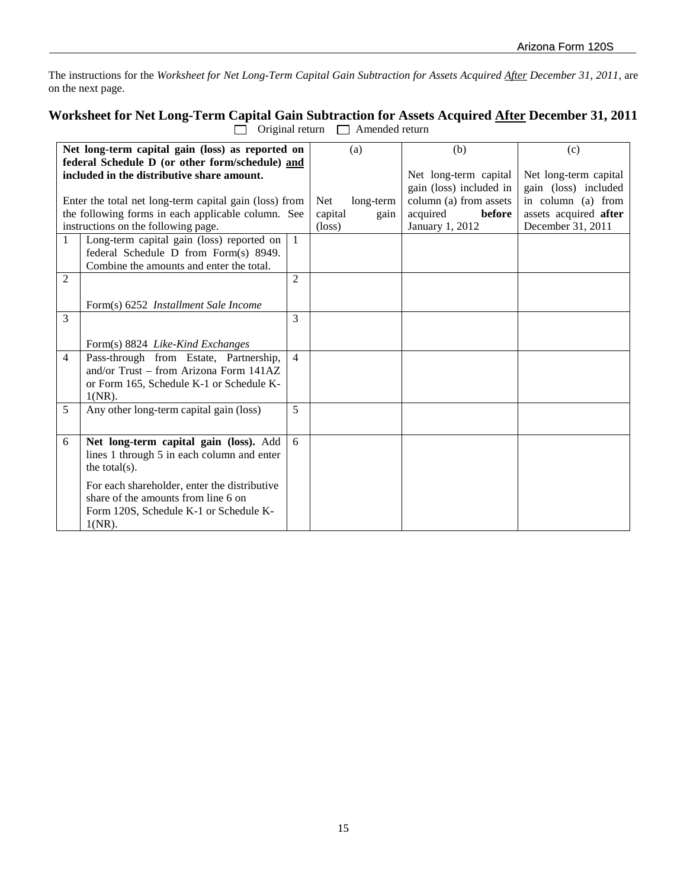The instructions for the *Worksheet for Net Long-Term Capital Gain Subtraction for Assets Acquired After December 31, 2011,* are on the next page.

## **Worksheet for Net Long-Term Capital Gain Subtraction for Assets Acquired After December 31, 2011**  $\Box$  Original return  $\Box$  Amended return

|                                                    | Net long-term capital gain (loss) as reported on<br>federal Schedule D (or other form/schedule) and<br>included in the distributive share amount. |                 | (a)                     | (b)<br>Net long-term capital<br>gain (loss) included in | (c)<br>Net long-term capital<br>gain (loss) included |
|----------------------------------------------------|---------------------------------------------------------------------------------------------------------------------------------------------------|-----------------|-------------------------|---------------------------------------------------------|------------------------------------------------------|
|                                                    | Enter the total net long-term capital gain (loss) from                                                                                            |                 | <b>Net</b><br>long-term | column (a) from assets                                  | in column (a) from                                   |
| the following forms in each applicable column. See |                                                                                                                                                   | capital<br>gain | acquired<br>before      | assets acquired after                                   |                                                      |
| instructions on the following page.                |                                                                                                                                                   | $(\text{loss})$ | January 1, 2012         | December 31, 2011                                       |                                                      |
| $\mathbf{1}$                                       | Long-term capital gain (loss) reported on<br>federal Schedule D from Form(s) 8949.<br>Combine the amounts and enter the total.                    | $\mathbf{1}$    |                         |                                                         |                                                      |
| 2                                                  |                                                                                                                                                   | $\overline{c}$  |                         |                                                         |                                                      |
|                                                    | Form(s) 6252 Installment Sale Income                                                                                                              |                 |                         |                                                         |                                                      |
| 3                                                  |                                                                                                                                                   | 3               |                         |                                                         |                                                      |
|                                                    | Form(s) 8824 Like-Kind Exchanges                                                                                                                  |                 |                         |                                                         |                                                      |
| 4                                                  | Pass-through from Estate, Partnership,<br>and/or Trust – from Arizona Form $141AZ$                                                                | $\overline{4}$  |                         |                                                         |                                                      |
|                                                    | or Form 165, Schedule K-1 or Schedule K-                                                                                                          |                 |                         |                                                         |                                                      |
|                                                    | $1(NR)$ .                                                                                                                                         |                 |                         |                                                         |                                                      |
| 5                                                  | Any other long-term capital gain (loss)                                                                                                           | 5               |                         |                                                         |                                                      |
| 6                                                  | Net long-term capital gain (loss). Add<br>lines 1 through 5 in each column and enter                                                              | 6               |                         |                                                         |                                                      |
|                                                    | the total $(s)$ .                                                                                                                                 |                 |                         |                                                         |                                                      |
|                                                    | For each shareholder, enter the distributive                                                                                                      |                 |                         |                                                         |                                                      |
|                                                    | share of the amounts from line 6 on                                                                                                               |                 |                         |                                                         |                                                      |
|                                                    | Form 120S, Schedule K-1 or Schedule K-<br>$1(NR)$ .                                                                                               |                 |                         |                                                         |                                                      |